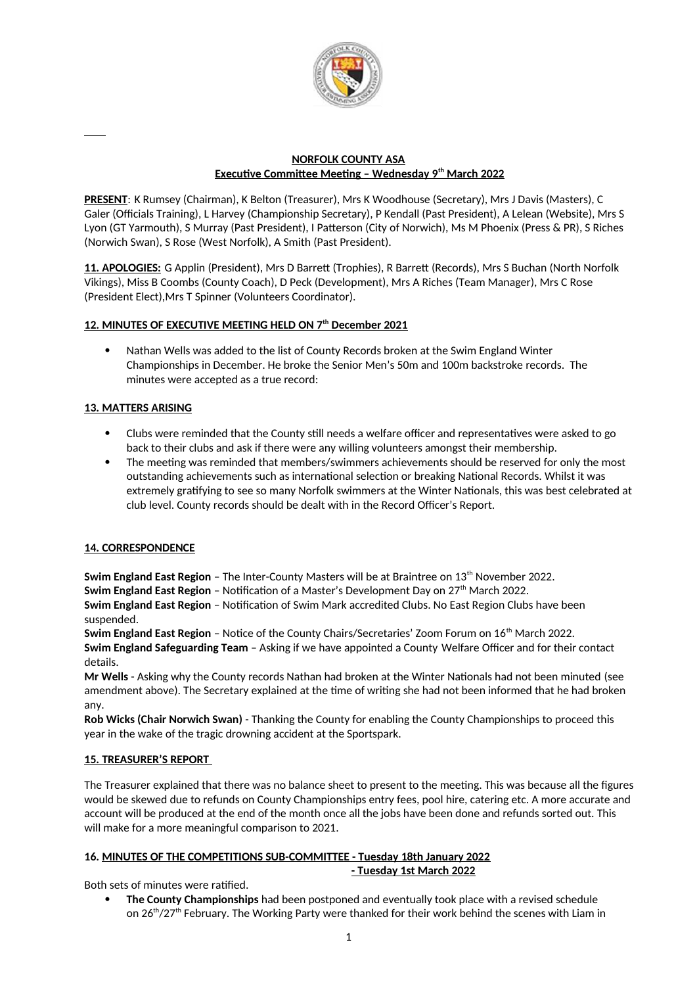

### **NORFOLK COUNTY ASA Executive Committee Meeting – Wednesday 9th March 2022**

**PRESENT**: K Rumsey (Chairman), K Belton (Treasurer), Mrs K Woodhouse (Secretary), Mrs J Davis (Masters), C Galer (Officials Training), L Harvey (Championship Secretary), P Kendall (Past President), A Lelean (Website), Mrs S Lyon (GT Yarmouth), S Murray (Past President), I Patterson (City of Norwich), Ms M Phoenix (Press & PR), S Riches (Norwich Swan), S Rose (West Norfolk), A Smith (Past President).

**11. APOLOGIES:** G Applin (President), Mrs D Barrett (Trophies), R Barrett (Records), Mrs S Buchan (North Norfolk Vikings), Miss B Coombs (County Coach), D Peck (Development), Mrs A Riches (Team Manager), Mrs C Rose (President Elect),Mrs T Spinner (Volunteers Coordinator).

# **12. MINUTES OF EXECUTIVE MEETING HELD ON 7th December 2021**

 Nathan Wells was added to the list of County Records broken at the Swim England Winter Championships in December. He broke the Senior Men's 50m and 100m backstroke records. The minutes were accepted as a true record:

## **13. MATTERS ARISING**

- Clubs were reminded that the County still needs a welfare officer and representatives were asked to go back to their clubs and ask if there were any willing volunteers amongst their membership.
- The meeting was reminded that members/swimmers achievements should be reserved for only the most outstanding achievements such as international selection or breaking National Records. Whilst it was extremely gratifying to see so many Norfolk swimmers at the Winter Nationals, this was best celebrated at club level. County records should be dealt with in the Record Officer's Report.

## **14. CORRESPONDENCE**

**Swim England East Region** – The Inter-County Masters will be at Braintree on 13<sup>th</sup> November 2022.

**Swim England East Region** - Notification of a Master's Development Day on 27<sup>th</sup> March 2022.

**Swim England East Region** – Notification of Swim Mark accredited Clubs. No East Region Clubs have been suspended.

**Swim England East Region** – Notice of the County Chairs/Secretaries' Zoom Forum on 16th March 2022. **Swim England Safeguarding Team** – Asking if we have appointed a County Welfare Officer and for their contact details.

**Mr Wells** - Asking why the County records Nathan had broken at the Winter Nationals had not been minuted (see amendment above). The Secretary explained at the time of writing she had not been informed that he had broken any.

**Rob Wicks (Chair Norwich Swan)** - Thanking the County for enabling the County Championships to proceed this year in the wake of the tragic drowning accident at the Sportspark.

## **15. TREASURER'S REPORT**

The Treasurer explained that there was no balance sheet to present to the meeting. This was because all the figures would be skewed due to refunds on County Championships entry fees, pool hire, catering etc. A more accurate and account will be produced at the end of the month once all the jobs have been done and refunds sorted out. This will make for a more meaningful comparison to 2021.

#### **16. MINUTES OF THE COMPETITIONS SUB-COMMITTEE - Tuesday 18th January 2022 - Tuesday 1st March 2022**

Both sets of minutes were ratified.

 **The County Championships** had been postponed and eventually took place with a revised schedule on 26<sup>th</sup>/27<sup>th</sup> February. The Working Party were thanked for their work behind the scenes with Liam in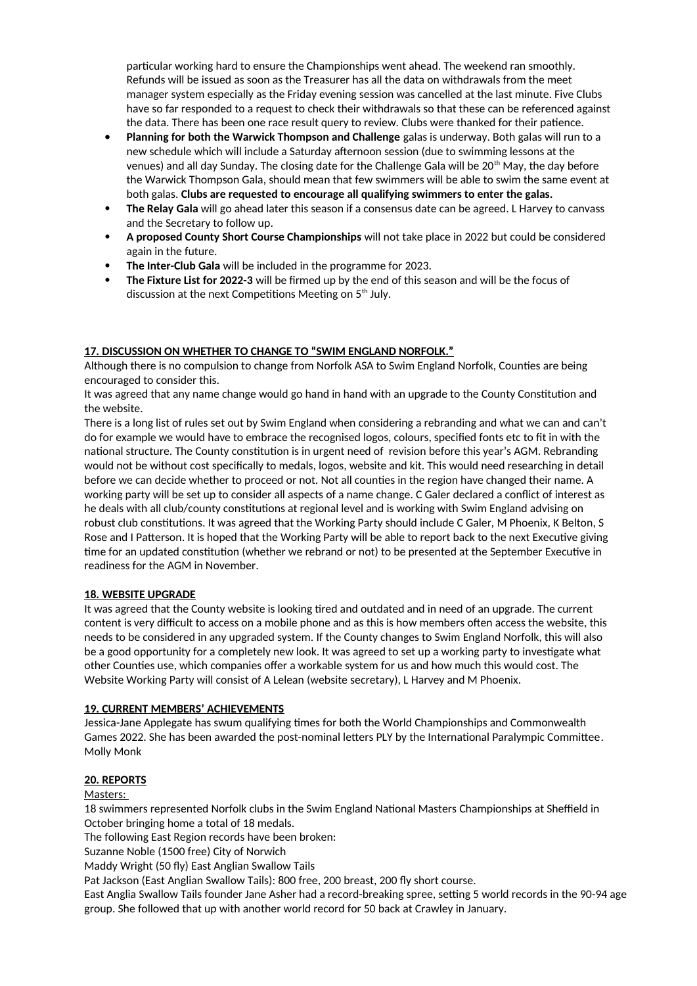particular working hard to ensure the Championships went ahead. The weekend ran smoothly. Refunds will be issued as soon as the Treasurer has all the data on withdrawals from the meet manager system especially as the Friday evening session was cancelled at the last minute. Five Clubs have so far responded to a request to check their withdrawals so that these can be referenced against the data. There has been one race result query to review. Clubs were thanked for their patience.

- **Planning for both the Warwick Thompson and Challenge** galas is underway. Both galas will run to a new schedule which will include a Saturday afternoon session (due to swimming lessons at the venues) and all day Sunday. The closing date for the Challenge Gala will be 20<sup>th</sup> May, the day before the Warwick Thompson Gala, should mean that few swimmers will be able to swim the same event at both galas. **Clubs are requested to encourage all qualifying swimmers to enter the galas.**
- **The Relay Gala** will go ahead later this season if a consensus date can be agreed. L Harvey to canvass and the Secretary to follow up.
- **A proposed County Short Course Championships** will not take place in 2022 but could be considered again in the future.
- **The Inter-Club Gala** will be included in the programme for 2023.
- **The Fixture List for 2022-3** will be firmed up by the end of this season and will be the focus of discussion at the next Competitions Meeting on  $5<sup>th</sup>$  July.

### **17. DISCUSSION ON WHETHER TO CHANGE TO "SWIM ENGLAND NORFOLK."**

Although there is no compulsion to change from Norfolk ASA to Swim England Norfolk, Counties are being encouraged to consider this.

It was agreed that any name change would go hand in hand with an upgrade to the County Constitution and the website.

There is a long list of rules set out by Swim England when considering a rebranding and what we can and can't do for example we would have to embrace the recognised logos, colours, specified fonts etc to fit in with the national structure. The County constitution is in urgent need of revision before this year's AGM. Rebranding would not be without cost specifically to medals, logos, website and kit. This would need researching in detail before we can decide whether to proceed or not. Not all counties in the region have changed their name. A working party will be set up to consider all aspects of a name change. C Galer declared a conflict of interest as he deals with all club/county constitutions at regional level and is working with Swim England advising on robust club constitutions. It was agreed that the Working Party should include C Galer, M Phoenix, K Belton, S Rose and I Patterson. It is hoped that the Working Party will be able to report back to the next Executive giving time for an updated constitution (whether we rebrand or not) to be presented at the September Executive in readiness for the AGM in November.

### **18. WEBSITE UPGRADE**

It was agreed that the County website is looking tired and outdated and in need of an upgrade. The current content is very difficult to access on a mobile phone and as this is how members often access the website, this needs to be considered in any upgraded system. If the County changes to Swim England Norfolk, this will also be a good opportunity for a completely new look. It was agreed to set up a working party to investigate what other Counties use, which companies offer a workable system for us and how much this would cost. The Website Working Party will consist of A Lelean (website secretary), L Harvey and M Phoenix.

### **19. CURRENT MEMBERS' ACHIEVEMENTS**

Jessica-Jane Applegate has swum qualifying times for both the World Championships and Commonwealth Games 2022. She has been awarded the post-nominal letters PLY by the International Paralympic Committee. Molly Monk

### **20. REPORTS**

### Masters:

18 swimmers represented Norfolk clubs in the Swim England National Masters Championships at Sheffield in October bringing home a total of 18 medals.

The following East Region records have been broken:

Suzanne Noble (1500 free) City of Norwich

Maddy Wright (50 fly) East Anglian Swallow Tails

Pat Jackson (East Anglian Swallow Tails): 800 free, 200 breast, 200 fly short course.

East Anglia Swallow Tails founder Jane Asher had a record-breaking spree, setting 5 world records in the 90-94 age group. She followed that up with another world record for 50 back at Crawley in January.